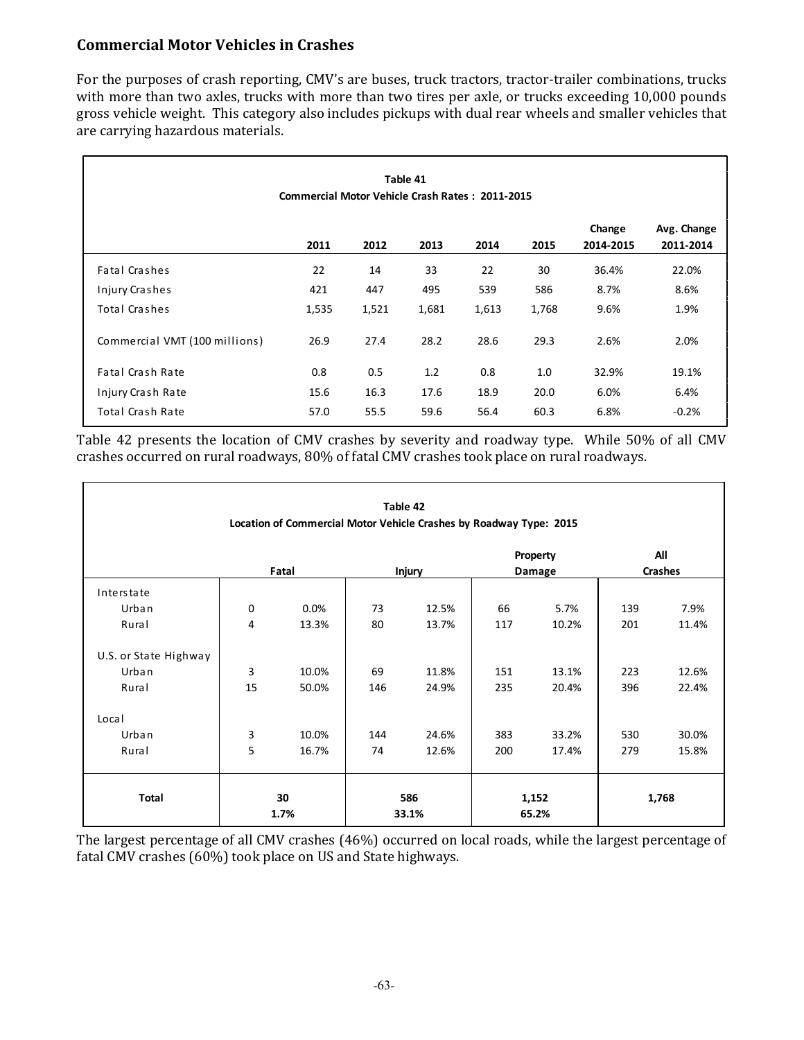## **Commercial Motor Vehicles in Crashes**

For the purposes of crash reporting, CMV's are buses, truck tractors, tractor-trailer combinations, trucks with more than two axles, trucks with more than two tires per axle, or trucks exceeding 10,000 pounds gross vehicle weight. This category also includes pickups with dual rear wheels and smaller vehicles that are carrying hazardous materials.

|                               | <b>Commercial Motor Vehicle Crash Rates: 2011-2015</b> |       | Table 41 |       |       |                     |                          |
|-------------------------------|--------------------------------------------------------|-------|----------|-------|-------|---------------------|--------------------------|
|                               | 2011                                                   | 2012  | 2013     | 2014  | 2015  | Change<br>2014-2015 | Avg. Change<br>2011-2014 |
| Fatal Crashes                 | 22                                                     | 14    | 33       | 22    | 30    | 36.4%               | 22.0%                    |
| Injury Crashes                | 421                                                    | 447   | 495      | 539   | 586   | 8.7%                | 8.6%                     |
| Total Crashes                 | 1,535                                                  | 1,521 | 1,681    | 1,613 | 1,768 | 9.6%                | 1.9%                     |
| Commercial VMT (100 millions) | 26.9                                                   | 27.4  | 28.2     | 28.6  | 29.3  | 2.6%                | 2.0%                     |
| Fatal Crash Rate              | 0.8                                                    | 0.5   | 1.2      | 0.8   | 1.0   | 32.9%               | 19.1%                    |
| Injury Crash Rate             | 15.6                                                   | 16.3  | 17.6     | 18.9  | 20.0  | 6.0%                | 6.4%                     |
| Total Crash Rate              | 57.0                                                   | 55.5  | 59.6     | 56.4  | 60.3  | 6.8%                | $-0.2%$                  |

Table 42 presents the location of CMV crashes by severity and roadway type. While 50% of all CMV crashes occurred on rural roadways, 80% of fatal CMV crashes took place on rural roadways.

|                       |             | Location of Commercial Motor Vehicle Crashes by Roadway Type: 2015 |     | Table 42      |     |                |     |                |
|-----------------------|-------------|--------------------------------------------------------------------|-----|---------------|-----|----------------|-----|----------------|
|                       |             |                                                                    |     |               |     | Property       |     | All            |
|                       |             | Fatal                                                              |     | <b>Injury</b> |     | Damage         |     | <b>Crashes</b> |
| Interstate            |             |                                                                    |     |               |     |                |     |                |
| Urban                 | $\mathbf 0$ | 0.0%                                                               | 73  | 12.5%         | 66  | 5.7%           | 139 | 7.9%           |
| Rural                 | 4           | 13.3%                                                              | 80  | 13.7%         | 117 | 10.2%          | 201 | 11.4%          |
| U.S. or State Highway |             |                                                                    |     |               |     |                |     |                |
| Urban                 | 3           | 10.0%                                                              | 69  | 11.8%         | 151 | 13.1%          | 223 | 12.6%          |
| Rural                 | 15          | 50.0%                                                              | 146 | 24.9%         | 235 | 20.4%          | 396 | 22.4%          |
| Local                 |             |                                                                    |     |               |     |                |     |                |
| Urban                 | 3           | 10.0%                                                              | 144 | 24.6%         | 383 | 33.2%          | 530 | 30.0%          |
| Rural                 | 5           | 16.7%                                                              | 74  | 12.6%         | 200 | 17.4%          | 279 | 15.8%          |
| Total                 |             | 30<br>1.7%                                                         |     | 586<br>33.1%  |     | 1,152<br>65.2% |     | 1,768          |

The largest percentage of all CMV crashes (46%) occurred on local roads, while the largest percentage of fatal CMV crashes (60%) took place on US and State highways.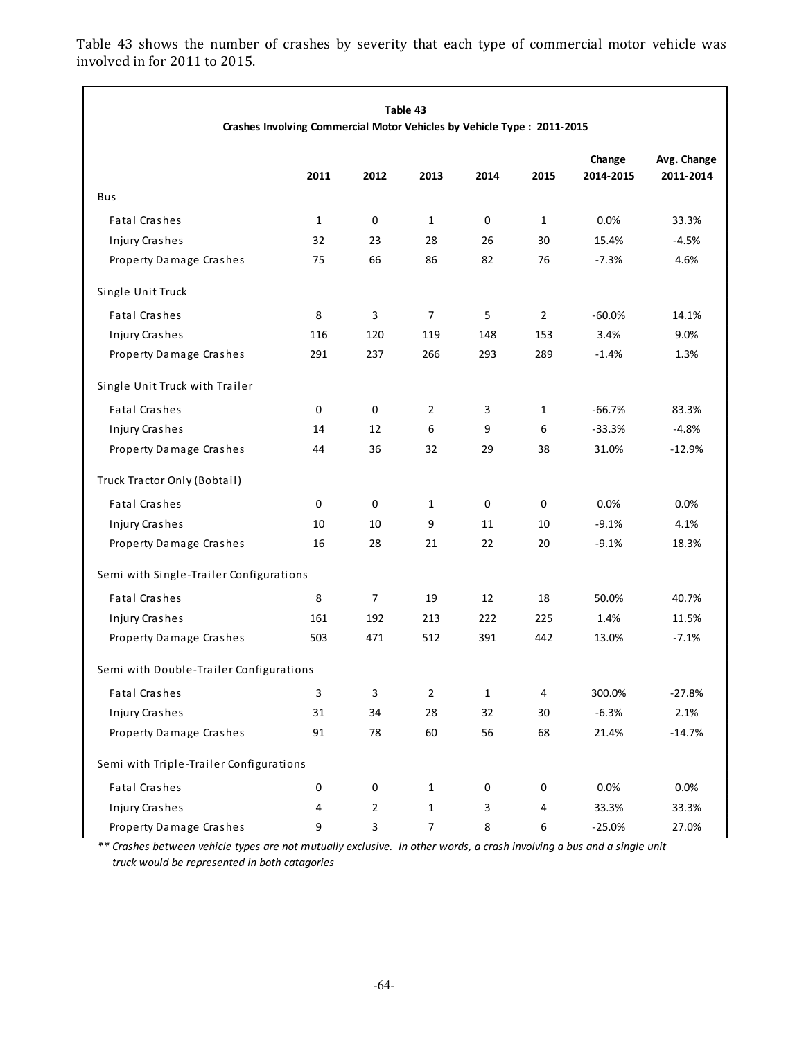**Change Avg. Change 2011 2012 2013 2014 2015 2014‐2015 2011‐2014** Bus Fatal Crashes **1** 0 1 0 1 0.0% 33.3% Injury Cra shes 32 23 28 26 30 15.4% ‐4.5% Property Damage Crashes 75 66 86 82 76 -7.3% 4.6% Single Unit Truck Fatal Crashes 6 2 14.1% **8 3 7 5 2 60.0%** 14.1% Injury Crashes **116** 120 119 148 153 3.4% 9.0% Property Damage Crashes 291 237 266 293 289 -1.4% 1.3% Single Unit Truck with Trailer Fa tal Cra shes 0 0 2 3 1 ‐66.7% 83.3% Injury Crashes 14 12 6 9 6 -33.3% -4.8% Property Damage Cra shes 44 36 32 29 38 31.0% ‐12.9% Truck Tra ctor Only (Bobtail ) Fa tal Cra s hes 0 0 1 0 0 0.0% 0.0% Injury Crashes 10 10 10 9 11 10 -9.1% 4.1% Property Damage Crashes 16 28 21 22 20 -9.1% 18.3% Semi with Single-Trailer Configurations Fatal Crashes **8 7 19 12 18 50.0%** 40.7% Injury Crashes 153 202 225 1.4% 11.5% Property Damage Crashes 503 471 512 391 442 13.0% -7.1% Semi with Double-Trailer Configurations Fatal Crashes **3** 3 3 2 1 4 300.0% -27.8% Injury Cra shes 31 34 28 32 30 ‐6.3% 2.1% Property Damage Crashes 91 78 60 56 68 21.4% - 14.7% Semi with Triple-Trailer Configurations Fatal Crashes **0** 0 0 1 0 0 0.0% 0.0% 0.0% Injury Crashes 2 4 2 1 3 4 33.3% 33.3% Property Damage Crashes 9 3 7 8 6 -25.0% 27.0% **Table 43 Crashes Involving Commercial Motor Vehicles by Vehicle Type : 2011‐2015**

Table 43 shows the number of crashes by severity that each type of commercial motor vehicle was involved in for 2011 to 2015.

\*\* Crashes between vehicle types are not mutually exclusive. In other words, a crash involving a bus and a single unit  *truck would be represented in both catagories*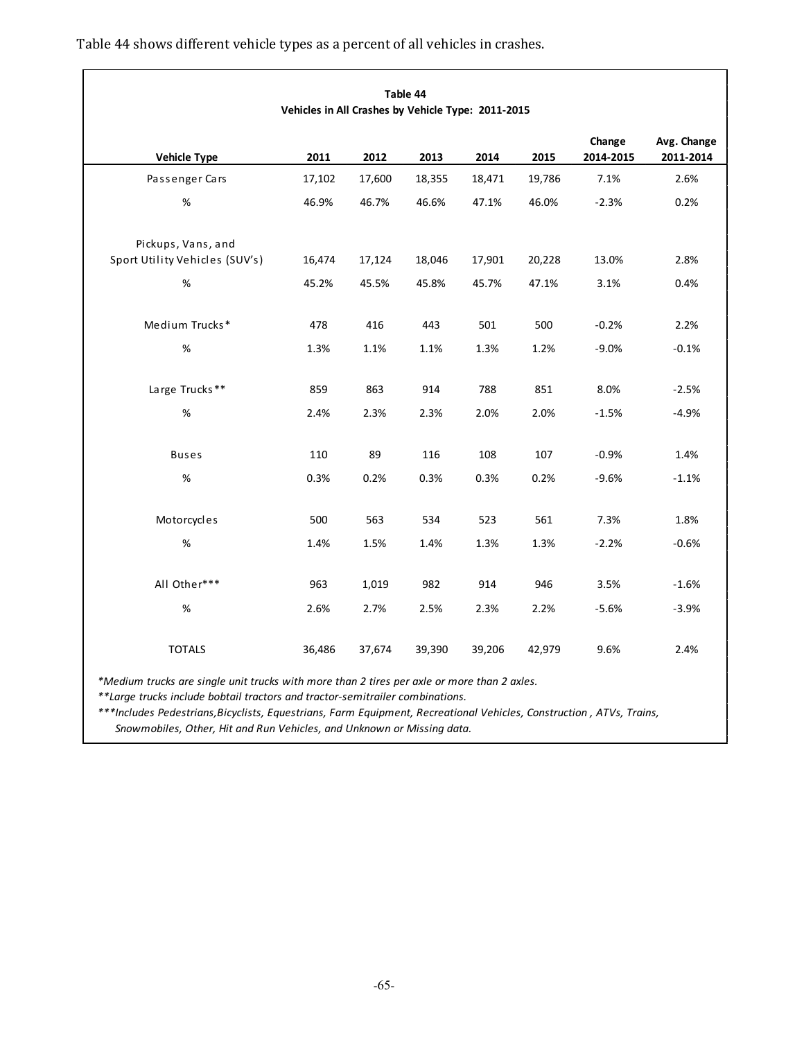|                                                      | Vehicles in All Crashes by Vehicle Type: 2011-2015 |        | Table 44 |        |        |                     |                          |
|------------------------------------------------------|----------------------------------------------------|--------|----------|--------|--------|---------------------|--------------------------|
| <b>Vehicle Type</b>                                  | 2011                                               | 2012   | 2013     | 2014   | 2015   | Change<br>2014-2015 | Avg. Change<br>2011-2014 |
| Passenger Cars                                       | 17,102                                             | 17,600 | 18,355   | 18,471 | 19,786 | 7.1%                | 2.6%                     |
| $\%$                                                 | 46.9%                                              | 46.7%  | 46.6%    | 47.1%  | 46.0%  | $-2.3%$             | 0.2%                     |
| Pickups, Vans, and<br>Sport Utility Vehicles (SUV's) | 16,474                                             | 17,124 | 18,046   | 17,901 | 20,228 | 13.0%               | 2.8%                     |
| $\%$                                                 | 45.2%                                              | 45.5%  | 45.8%    | 45.7%  | 47.1%  | 3.1%                | 0.4%                     |
| Medium Trucks*                                       | 478                                                | 416    | 443      | 501    | 500    | $-0.2%$             | 2.2%                     |
| %                                                    | 1.3%                                               | 1.1%   | 1.1%     | 1.3%   | 1.2%   | $-9.0%$             | $-0.1%$                  |
| Large Trucks**                                       | 859                                                | 863    | 914      | 788    | 851    | 8.0%                | $-2.5%$                  |
| $\%$                                                 | 2.4%                                               | 2.3%   | 2.3%     | 2.0%   | 2.0%   | $-1.5%$             | $-4.9%$                  |
| <b>Buses</b>                                         | 110                                                | 89     | 116      | 108    | 107    | $-0.9%$             | 1.4%                     |
| $\%$                                                 | 0.3%                                               | 0.2%   | 0.3%     | 0.3%   | 0.2%   | $-9.6%$             | $-1.1%$                  |
| Motorcycles                                          | 500                                                | 563    | 534      | 523    | 561    | 7.3%                | 1.8%                     |
| $\%$                                                 | 1.4%                                               | 1.5%   | 1.4%     | 1.3%   | 1.3%   | $-2.2%$             | $-0.6%$                  |
| All Other***                                         | 963                                                | 1,019  | 982      | 914    | 946    | 3.5%                | $-1.6%$                  |
| $\%$                                                 | 2.6%                                               | 2.7%   | 2.5%     | 2.3%   | 2.2%   | $-5.6%$             | $-3.9%$                  |
| <b>TOTALS</b>                                        | 36,486                                             | 37,674 | 39,390   | 39,206 | 42,979 | 9.6%                | 2.4%                     |

Table 44 shows different vehicle types as a percent of all vehicles in crashes.

*\*Medium trucks are single unit trucks with more than 2 tires per axle or more than 2 axles.*

*\*\*Large trucks include bobtail tractors and tractor‐semitrailer combinations.*

*\*\*\*Includes Pedestrians,Bicyclists, Equestrians, Farm Equipment, Recreational Vehicles, Construction , ATVs, Trains, Snowmobiles, Other, Hit and Run Vehicles, and Unknown or Missing data.*